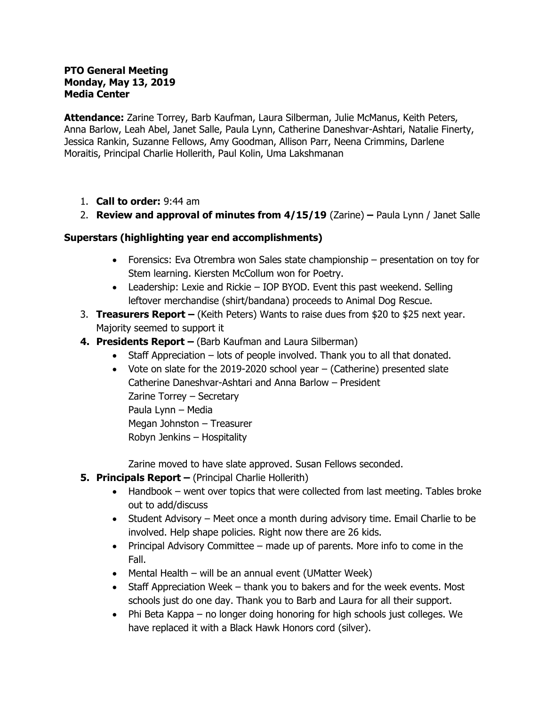#### **PTO General Meeting Monday, May 13, 2019 Media Center**

**Attendance:** Zarine Torrey, Barb Kaufman, Laura Silberman, Julie McManus, Keith Peters, Anna Barlow, Leah Abel, Janet Salle, Paula Lynn, Catherine Daneshvar-Ashtari, Natalie Finerty, Jessica Rankin, Suzanne Fellows, Amy Goodman, Allison Parr, Neena Crimmins, Darlene Moraitis, Principal Charlie Hollerith, Paul Kolin, Uma Lakshmanan

- 1. **Call to order:** 9:44 am
- 2. **Review and approval of minutes from 4/15/19** (Zarine) **–** Paula Lynn / Janet Salle

## **Superstars (highlighting year end accomplishments)**

- Forensics: Eva Otrembra won Sales state championship presentation on toy for Stem learning. Kiersten McCollum won for Poetry.
- Leadership: Lexie and Rickie IOP BYOD. Event this past weekend. Selling leftover merchandise (shirt/bandana) proceeds to Animal Dog Rescue.
- 3. **Treasurers Report –** (Keith Peters) Wants to raise dues from \$20 to \$25 next year. Majority seemed to support it
- **4. Presidents Report –** (Barb Kaufman and Laura Silberman)
	- Staff Appreciation lots of people involved. Thank you to all that donated.
	- Vote on slate for the 2019-2020 school year (Catherine) presented slate Catherine Daneshvar-Ashtari and Anna Barlow – President Zarine Torrey – Secretary Paula Lynn – Media Megan Johnston – Treasurer Robyn Jenkins – Hospitality

Zarine moved to have slate approved. Susan Fellows seconded.

## **5. Principals Report –** (Principal Charlie Hollerith)

- Handbook went over topics that were collected from last meeting. Tables broke out to add/discuss
- Student Advisory Meet once a month during advisory time. Email Charlie to be involved. Help shape policies. Right now there are 26 kids.
- Principal Advisory Committee made up of parents. More info to come in the Fall.
- Mental Health will be an annual event (UMatter Week)
- Staff Appreciation Week thank you to bakers and for the week events. Most schools just do one day. Thank you to Barb and Laura for all their support.
- Phi Beta Kappa no longer doing honoring for high schools just colleges. We have replaced it with a Black Hawk Honors cord (silver).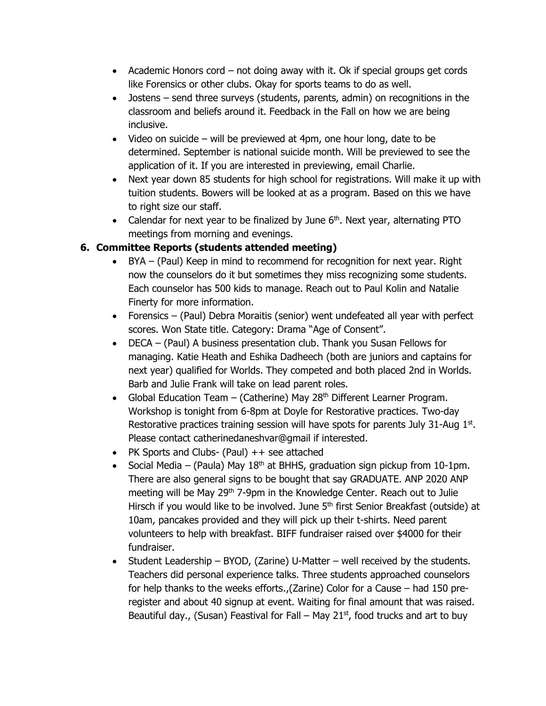- Academic Honors cord not doing away with it. Ok if special groups get cords like Forensics or other clubs. Okay for sports teams to do as well.
- Jostens send three surveys (students, parents, admin) on recognitions in the classroom and beliefs around it. Feedback in the Fall on how we are being inclusive.
- Video on suicide will be previewed at 4pm, one hour long, date to be determined. September is national suicide month. Will be previewed to see the application of it. If you are interested in previewing, email Charlie.
- Next year down 85 students for high school for registrations. Will make it up with tuition students. Bowers will be looked at as a program. Based on this we have to right size our staff.
- Calendar for next year to be finalized by June  $6<sup>th</sup>$ . Next year, alternating PTO meetings from morning and evenings.

# **6. Committee Reports (students attended meeting)**

- BYA (Paul) Keep in mind to recommend for recognition for next year. Right now the counselors do it but sometimes they miss recognizing some students. Each counselor has 500 kids to manage. Reach out to Paul Kolin and Natalie Finerty for more information.
- Forensics (Paul) Debra Moraitis (senior) went undefeated all year with perfect scores. Won State title. Category: Drama "Age of Consent".
- DECA (Paul) A business presentation club. Thank you Susan Fellows for managing. Katie Heath and Eshika Dadheech (both are juniors and captains for next year) qualified for Worlds. They competed and both placed 2nd in Worlds. Barb and Julie Frank will take on lead parent roles.
- Global Education Team (Catherine) May 28<sup>th</sup> Different Learner Program. Workshop is tonight from 6-8pm at Doyle for Restorative practices. Two-day Restorative practices training session will have spots for parents July 31-Aug  $1<sup>st</sup>$ . Please contact catherinedaneshvar@gmail if interested.
- PK Sports and Clubs- (Paul)  $++$  see attached
- Social Media (Paula) May  $18<sup>th</sup>$  at BHHS, graduation sign pickup from 10-1pm. There are also general signs to be bought that say GRADUATE. ANP 2020 ANP meeting will be May 29<sup>th</sup> 7-9pm in the Knowledge Center. Reach out to Julie Hirsch if you would like to be involved. June  $5<sup>th</sup>$  first Senior Breakfast (outside) at 10am, pancakes provided and they will pick up their t-shirts. Need parent volunteers to help with breakfast. BIFF fundraiser raised over \$4000 for their fundraiser.
- Student Leadership BYOD, (Zarine) U-Matter well received by the students. Teachers did personal experience talks. Three students approached counselors for help thanks to the weeks efforts.,(Zarine) Color for a Cause – had 150 preregister and about 40 signup at event. Waiting for final amount that was raised. Beautiful day., (Susan) Feastival for Fall – May  $21<sup>st</sup>$ , food trucks and art to buy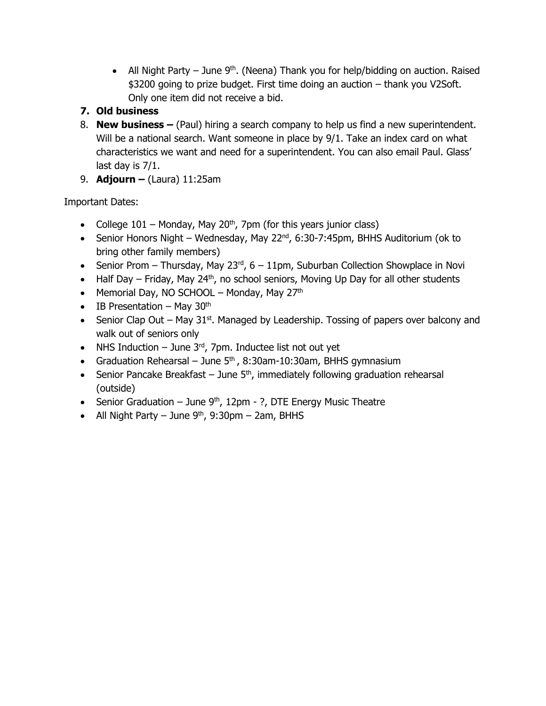- All Night Party June  $9<sup>th</sup>$ . (Neena) Thank you for help/bidding on auction. Raised \$3200 going to prize budget. First time doing an auction – thank you V2Soft. Only one item did not receive a bid.
- **7. Old business**
- 8. **New business –** (Paul) hiring a search company to help us find a new superintendent. Will be a national search. Want someone in place by 9/1. Take an index card on what characteristics we want and need for a superintendent. You can also email Paul. Glass' last day is 7/1.
- 9. **Adjourn –** (Laura) 11:25am

Important Dates:

- College  $101$  Monday, May  $20<sup>th</sup>$ , 7pm (for this years junior class)
- Senior Honors Night Wednesday, May 22<sup>nd</sup>, 6:30-7:45pm, BHHS Auditorium (ok to bring other family members)
- Senior Prom Thursday, May 23 $^{rd}$ , 6 11pm, Suburban Collection Showplace in Novi
- Half Day Friday, May 24<sup>th</sup>, no school seniors, Moving Up Day for all other students
- Memorial Day, NO SCHOOL Monday, May  $27<sup>th</sup>$
- $\bullet$  IB Presentation May 30<sup>th</sup>
- Senior Clap Out May  $31<sup>st</sup>$ . Managed by Leadership. Tossing of papers over balcony and walk out of seniors only
- NHS Induction June  $3<sup>rd</sup>$ , 7pm. Inductee list not out yet
- Graduation Rehearsal June  $5<sup>th</sup>$ , 8:30am-10:30am, BHHS gymnasium
- **•** Senior Pancake Breakfast June  $5<sup>th</sup>$ , immediately following graduation rehearsal (outside)
- Senior Graduation June  $9<sup>th</sup>$ , 12pm ?, DTE Energy Music Theatre
- All Night Party June  $9<sup>th</sup>$ , 9:30pm 2am, BHHS